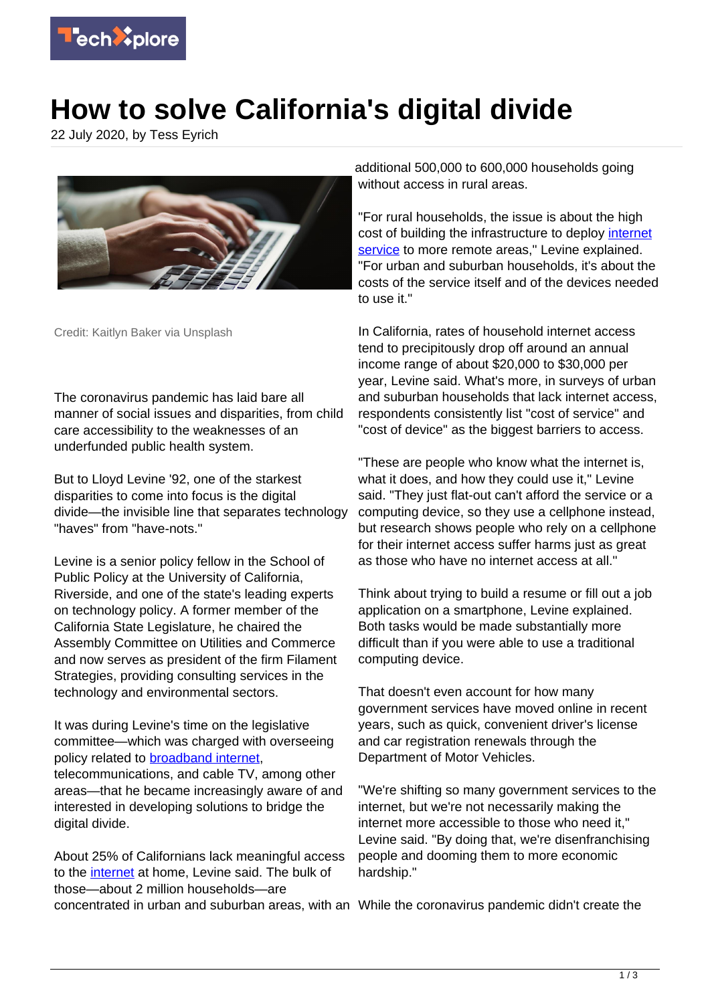

## **How to solve California's digital divide**

22 July 2020, by Tess Eyrich



Credit: Kaitlyn Baker via Unsplash

The coronavirus pandemic has laid bare all manner of social issues and disparities, from child care accessibility to the weaknesses of an underfunded public health system.

But to Lloyd Levine '92, one of the starkest disparities to come into focus is the digital divide—the invisible line that separates technology "haves" from "have-nots."

Levine is a senior policy fellow in the School of Public Policy at the University of California, Riverside, and one of the state's leading experts on technology policy. A former member of the California State Legislature, he chaired the Assembly Committee on Utilities and Commerce and now serves as president of the firm Filament Strategies, providing consulting services in the technology and environmental sectors.

It was during Levine's time on the legislative committee—which was charged with overseeing policy related to **broadband internet**, telecommunications, and cable TV, among other areas—that he became increasingly aware of and interested in developing solutions to bridge the digital divide.

About 25% of Californians lack meaningful access to the [internet](https://techxplore.com/tags/internet/) at home, Levine said. The bulk of those—about 2 million households—are concentrated in urban and suburban areas, with an While the coronavirus pandemic didn't create the

additional 500,000 to 600,000 households going without access in rural areas.

"For rural households, the issue is about the high cost of building the infrastructure to deploy [internet](https://techxplore.com/tags/internet+service/) [service](https://techxplore.com/tags/internet+service/) to more remote areas," Levine explained. "For urban and suburban households, it's about the costs of the service itself and of the devices needed to use it."

In California, rates of household internet access tend to precipitously drop off around an annual income range of about \$20,000 to \$30,000 per year, Levine said. What's more, in surveys of urban and suburban households that lack internet access, respondents consistently list "cost of service" and "cost of device" as the biggest barriers to access.

"These are people who know what the internet is, what it does, and how they could use it," Levine said. "They just flat-out can't afford the service or a computing device, so they use a cellphone instead, but research shows people who rely on a cellphone for their internet access suffer harms just as great as those who have no internet access at all."

Think about trying to build a resume or fill out a job application on a smartphone, Levine explained. Both tasks would be made substantially more difficult than if you were able to use a traditional computing device.

That doesn't even account for how many government services have moved online in recent years, such as quick, convenient driver's license and car registration renewals through the Department of Motor Vehicles.

"We're shifting so many government services to the internet, but we're not necessarily making the internet more accessible to those who need it," Levine said. "By doing that, we're disenfranchising people and dooming them to more economic hardship."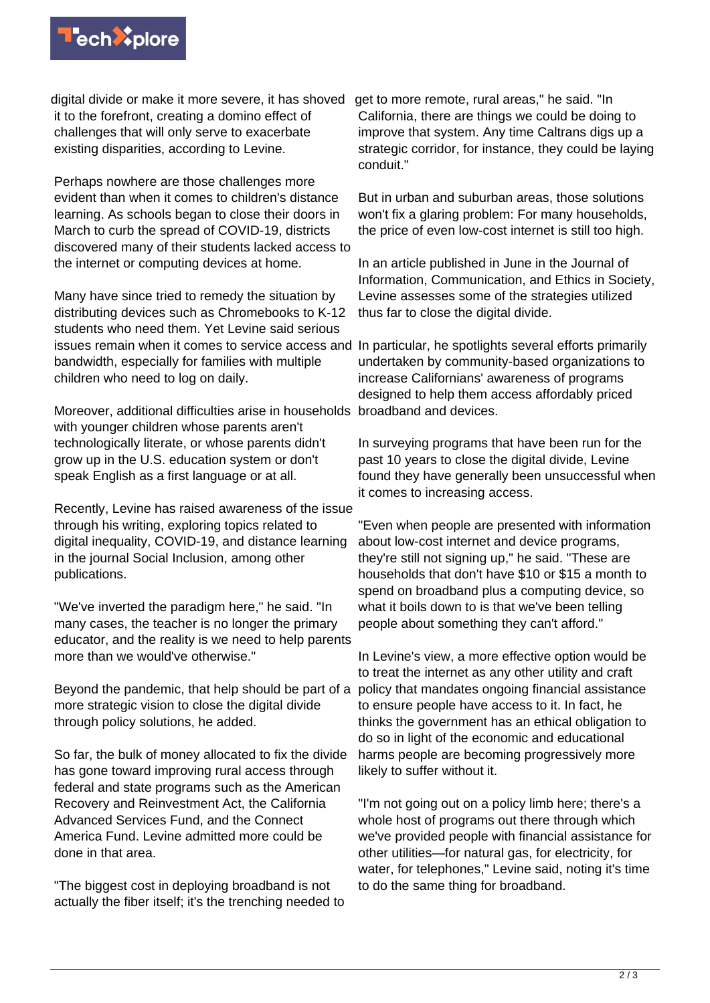

digital divide or make it more severe, it has shoved get to more remote, rural areas," he said. "In it to the forefront, creating a domino effect of challenges that will only serve to exacerbate existing disparities, according to Levine.

Perhaps nowhere are those challenges more evident than when it comes to children's distance learning. As schools began to close their doors in March to curb the spread of COVID-19, districts discovered many of their students lacked access to the internet or computing devices at home.

Many have since tried to remedy the situation by distributing devices such as Chromebooks to K-12 students who need them. Yet Levine said serious issues remain when it comes to service access and In particular, he spotlights several efforts primarily bandwidth, especially for families with multiple children who need to log on daily.

Moreover, additional difficulties arise in households broadband and devices. with younger children whose parents aren't technologically literate, or whose parents didn't grow up in the U.S. education system or don't speak English as a first language or at all.

Recently, Levine has raised awareness of the issue through his writing, exploring topics related to digital inequality, COVID-19, and distance learning in the journal Social Inclusion, among other publications.

"We've inverted the paradigm here," he said. "In many cases, the teacher is no longer the primary educator, and the reality is we need to help parents more than we would've otherwise."

Beyond the pandemic, that help should be part of a more strategic vision to close the digital divide through policy solutions, he added.

So far, the bulk of money allocated to fix the divide has gone toward improving rural access through federal and state programs such as the American Recovery and Reinvestment Act, the California Advanced Services Fund, and the Connect America Fund. Levine admitted more could be done in that area.

"The biggest cost in deploying broadband is not actually the fiber itself; it's the trenching needed to California, there are things we could be doing to improve that system. Any time Caltrans digs up a strategic corridor, for instance, they could be laying conduit."

But in urban and suburban areas, those solutions won't fix a glaring problem: For many households, the price of even low-cost internet is still too high.

In an article published in June in the Journal of Information, Communication, and Ethics in Society, Levine assesses some of the strategies utilized thus far to close the digital divide.

undertaken by community-based organizations to increase Californians' awareness of programs designed to help them access affordably priced

In surveying programs that have been run for the past 10 years to close the digital divide, Levine found they have generally been unsuccessful when it comes to increasing access.

"Even when people are presented with information about low-cost internet and device programs, they're still not signing up," he said. "These are households that don't have \$10 or \$15 a month to spend on broadband plus a computing device, so what it boils down to is that we've been telling people about something they can't afford."

In Levine's view, a more effective option would be to treat the internet as any other utility and craft policy that mandates ongoing financial assistance to ensure people have access to it. In fact, he thinks the government has an ethical obligation to do so in light of the economic and educational harms people are becoming progressively more likely to suffer without it.

"I'm not going out on a policy limb here; there's a whole host of programs out there through which we've provided people with financial assistance for other utilities—for natural gas, for electricity, for water, for telephones," Levine said, noting it's time to do the same thing for broadband.